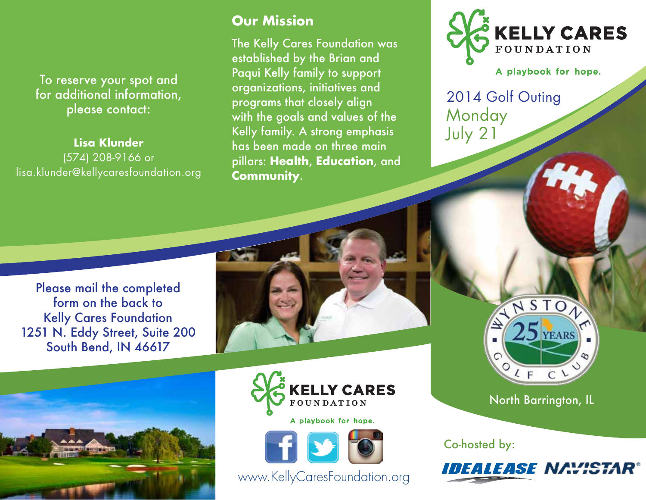To reserve your spot and for additional information, please contact:

**Lisa Klunder**  (574) 208-9166 or lisa.klunder@kellycaresfoundation.org

### **Our Mission**

The Kelly Cares Foundation was established by the Brian and Paqui Kelly family to support organizations, initiatives and programs that closely align with the goals and values of the Kelly family. A strong emphasis has been made on three main pillars: **Health**, **Education**, and **Community**.



A playbook for hope.

2014 Golf Outing **Monday** July 21

Please mail the completed form on the back to Kelly Cares Foundation 1251 N. Eddy Street, Suite 200 South Bend, IN 46617









www.KellyCaresFoundation.org

NSTON  $25$  YEARS  $2F$  $C$ 

North Barrington, IL

Co-hosted by: